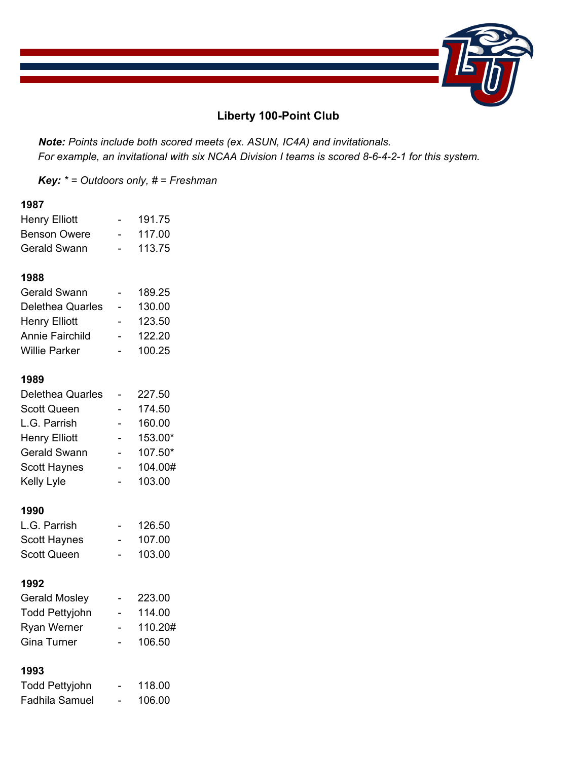

# **Liberty 100-Point Club**

 *Note: Points include both scored meets (ex. ASUN, IC4A) and invitationals. For example, an invitational with six NCAA Division I teams is scored 8-6-4-2-1 for this system.* 

*Key: \* = Outdoors only, # = Freshman* 

#### **1987**

| <b>Henry Elliott</b> |          | 191.75 |
|----------------------|----------|--------|
| <b>Benson Owere</b>  |          | 117.00 |
| Gerald Swann         | $\equiv$ | 113.75 |
|                      |          |        |

#### **1988**

| 189.25 |
|--------|
| 130.00 |
| 123.50 |
| 122.20 |
| 100.25 |
|        |
|        |

### **1989**

| <b>Delethea Quarles</b> | 227.50  |
|-------------------------|---------|
| <b>Scott Queen</b>      | 174.50  |
| L.G. Parrish            | 160.00  |
| <b>Henry Elliott</b>    | 153.00* |
| <b>Gerald Swann</b>     | 107.50* |
| <b>Scott Haynes</b>     | 104.00# |
| Kelly Lyle              | 103.00  |

#### **1990**

| L.G. Parrish | 126.50 |
|--------------|--------|
| Scott Haynes | 107.00 |
| Scott Queen  | 103.00 |

#### **1992**

| <b>Gerald Mosley</b>  | 223.00  |
|-----------------------|---------|
| <b>Todd Pettyjohn</b> | 114.00  |
| <b>Ryan Werner</b>    | 110.20# |
| Gina Turner           | 106.50  |

| <b>Todd Pettyjohn</b> | - | 118.00 |
|-----------------------|---|--------|
| Fadhila Samuel        | - | 106.00 |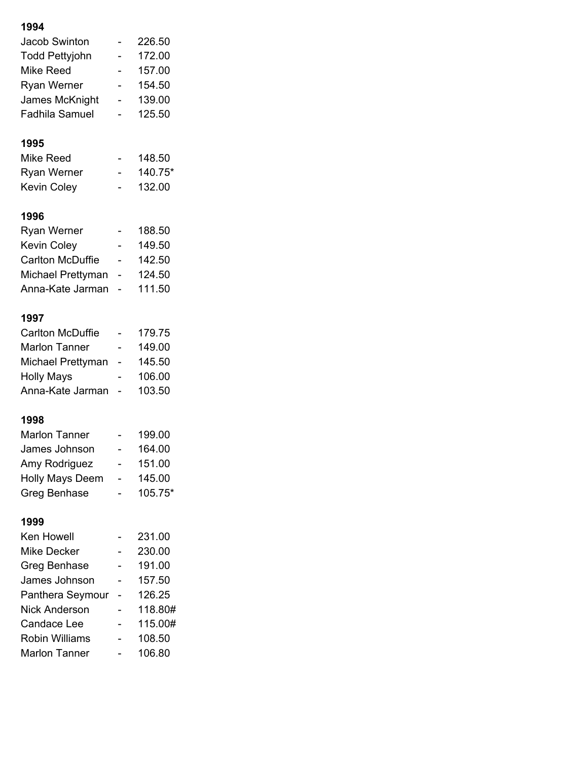| <b>Jacob Swinton</b>    |                          | 226.50  |
|-------------------------|--------------------------|---------|
| <b>Todd Pettyjohn</b>   |                          | 172.00  |
| Mike Reed               | Ξ.                       | 157.00  |
| <b>Ryan Werner</b>      |                          | 154.50  |
| James McKnight          |                          | 139.00  |
| <b>Fadhila Samuel</b>   |                          | 125.50  |
| 1995                    |                          |         |
| <b>Mike Reed</b>        |                          | 148.50  |
| <b>Ryan Werner</b>      |                          | 140.75* |
| Kevin Coley             |                          | 132.00  |
| 1996                    |                          |         |
| <b>Ryan Werner</b>      |                          | 188.50  |
| <b>Kevin Coley</b>      |                          | 149.50  |
| <b>Carlton McDuffie</b> |                          | 142.50  |
| Michael Prettyman       | $\overline{\phantom{0}}$ | 124.50  |
| Anna-Kate Jarman        |                          | 111.50  |
| 1997                    |                          |         |
| <b>Carlton McDuffie</b> |                          | 179.75  |
| <b>Marlon Tanner</b>    | -                        | 149.00  |
| Michael Prettyman       | $\overline{\phantom{a}}$ | 145.50  |
| <b>Holly Mays</b>       |                          | 106.00  |
| Anna-Kate Jarman        |                          | 103.50  |
| 1998                    |                          |         |
| <b>Marlon Tanner</b>    |                          | 199.00  |
| James Johnson           |                          | 164.00  |
| Amy Rodriguez           |                          | 151.00  |
| <b>Holly Mays Deem</b>  |                          | 145.00  |
| <b>Greg Benhase</b>     |                          | 105.75* |
| 1999                    |                          |         |
| Ken Howell              |                          | 231.00  |
| <b>Mike Decker</b>      |                          | 230.00  |
| Greg Benhase            |                          | 191.00  |
| James Johnson           |                          | 157.50  |
| Panthera Seymour        |                          | 126.25  |
| <b>Nick Anderson</b>    |                          | 118.80# |
| <b>Candace Lee</b>      |                          | 115.00# |
| Robin Williams          |                          | 108.50  |

Marlon Tanner - 106.80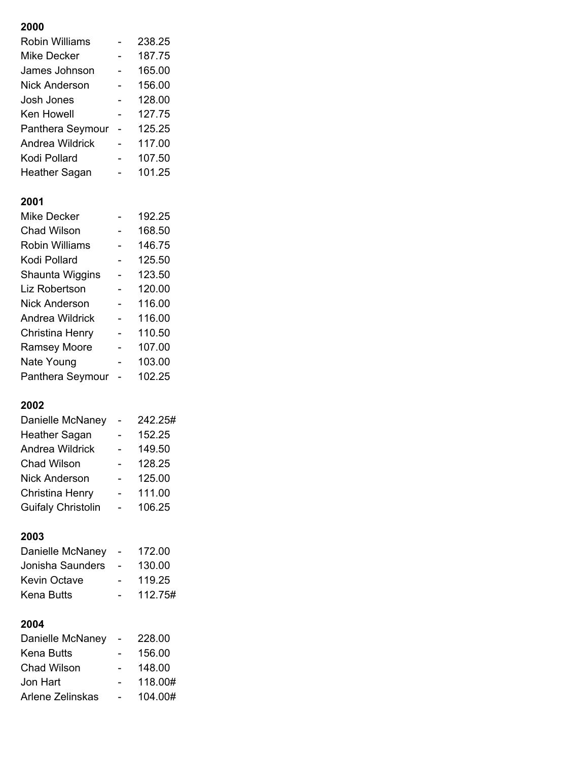| <b>Robin Williams</b>     | 238.25  |
|---------------------------|---------|
| <b>Mike Decker</b>        | 187.75  |
| James Johnson             | 165.00  |
| <b>Nick Anderson</b>      | 156.00  |
| Josh Jones                | 128.00  |
| Ken Howell                | 127.75  |
| Panthera Seymour          | 125.25  |
| Andrea Wildrick           | 117.00  |
| Kodi Pollard              | 107.50  |
| Heather Sagan             | 101.25  |
| 2001                      |         |
| <b>Mike Decker</b>        | 192.25  |
| <b>Chad Wilson</b>        | 168.50  |
| <b>Robin Williams</b>     | 146.75  |
| Kodi Pollard              | 125.50  |
| Shaunta Wiggins           | 123.50  |
| Liz Robertson             | 120.00  |
| <b>Nick Anderson</b>      | 116.00  |
| <b>Andrea Wildrick</b>    | 116.00  |
| Christina Henry           | 110.50  |
| <b>Ramsey Moore</b>       | 107.00  |
| Nate Young                | 103.00  |
| Panthera Seymour          | 102.25  |
| 2002                      |         |
| Danielle McNaney          | 242.25# |
| <b>Heather Sagan</b>      | 152.25  |
| <b>Andrea Wildrick</b>    | 149.50  |
| <b>Chad Wilson</b>        | 128.25  |
| <b>Nick Anderson</b>      | 125.00  |
| Christina Henry           | 111.00  |
| <b>Guifaly Christolin</b> | 106.25  |

# **2003**

| Danielle McNaney    | 172.00  |
|---------------------|---------|
| Jonisha Saunders    | 130.00  |
| <b>Kevin Octave</b> | 119.25  |
| Kena Butts          | 112.75# |
|                     |         |

| Danielle McNaney | 228.00  |
|------------------|---------|
| Kena Butts       | 156.00  |
| Chad Wilson      | 148.00  |
| Jon Hart         | 118.00# |
| Arlene Zelinskas | 104.00# |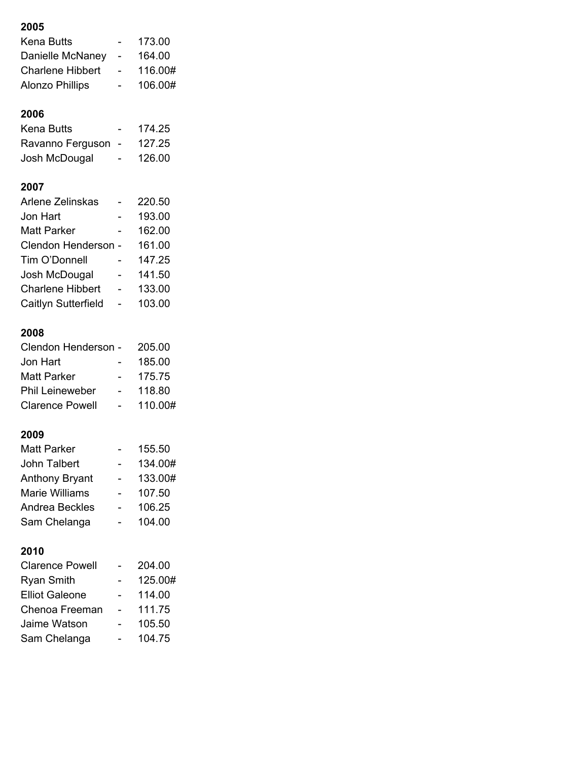| Kena Butts                                 |                | 173.00            |
|--------------------------------------------|----------------|-------------------|
| Danielle McNaney                           | -              | 164.00            |
| <b>Charlene Hibbert</b>                    |                | 116.00#           |
| <b>Alonzo Phillips</b>                     |                | 106.00#           |
|                                            |                |                   |
| 2006                                       |                |                   |
| <b>Kena Butts</b>                          |                | 174.25            |
| Ravanno Ferguson                           |                | 127.25            |
| Josh McDougal                              |                | 126.00            |
|                                            |                |                   |
| 2007                                       |                |                   |
| Arlene Zelinskas                           |                | 220.50            |
| Jon Hart                                   |                | 193.00            |
| <b>Matt Parker</b>                         |                | 162.00            |
| <b>Clendon Henderson</b>                   | $\blacksquare$ | 161.00            |
| Tim O'Donnell                              |                | 147.25            |
| Josh McDougal                              |                | 141.50            |
| <b>Charlene Hibbert</b>                    |                | 133.00            |
| Caitlyn Sutterfield                        |                | 103.00            |
| 2008                                       |                |                   |
| <b>Clendon Henderson</b>                   |                | 205.00            |
| Jon Hart                                   |                | 185.00            |
| <b>Matt Parker</b>                         |                | 175.75            |
| <b>Phil Leineweber</b>                     |                | 118.80            |
| <b>Clarence Powell</b>                     |                | 110.00#           |
|                                            |                |                   |
| 2009                                       |                |                   |
| Matt Parker                                |                | 155.50            |
| John Talbert                               |                | 134.00#           |
| <b>Anthony Bryant</b>                      |                | 133.00#           |
| <b>Marie Williams</b>                      |                | 107.50            |
| <b>Andrea Beckles</b>                      |                | 106.25            |
| Sam Chelanga                               |                | 104.00            |
|                                            |                |                   |
| 2010<br><b>Clarence Powell</b>             |                | 204.00            |
|                                            |                |                   |
|                                            |                |                   |
| <b>Ryan Smith</b><br><b>Elliot Galeone</b> |                | 125.00#<br>114.00 |

| EIIIUL QAICUHC | 114.UU |
|----------------|--------|
| Chenoa Freeman | 111.75 |
| Jaime Watson   | 105.50 |
| Sam Chelanga   | 104.75 |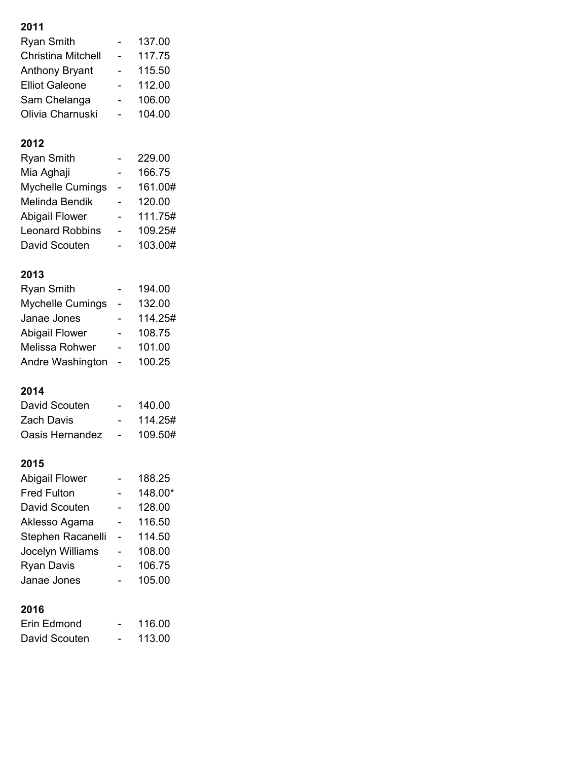| Ryan Smith              | 137.00  |
|-------------------------|---------|
| Christina Mitchell      | 117.75  |
| <b>Anthony Bryant</b>   | 115.50  |
| Elliot Galeone          | 112.00  |
| Sam Chelanga            | 106.00  |
| Olivia Charnuski        | 104.00  |
|                         |         |
| 2012                    |         |
| <b>Ryan Smith</b>       | 229.00  |
| Mia Aghaji              | 166.75  |
| <b>Mychelle Cumings</b> |         |
|                         | 161.00# |
| Melinda Bendik          | 120.00  |
| Abigail Flower          | 111.75# |
| Leonard Robbins         | 109.25# |
| David Scouten           | 103.00# |

# **2013**

| <b>Ryan Smith</b>       | 194.00  |
|-------------------------|---------|
| <b>Mychelle Cumings</b> | 132.00  |
| Janae Jones             | 114.25# |
| <b>Abigail Flower</b>   | 108.75  |
| <b>Melissa Rohwer</b>   | 101.00  |
| Andre Washington        | 100.25  |

## **2014**

| David Scouten   |                | 140.00  |
|-----------------|----------------|---------|
| Zach Davis      |                | 114.25# |
| Oasis Hernandez | $\blacksquare$ | 109.50# |

| <b>Abigail Flower</b> | 188.25  |
|-----------------------|---------|
| <b>Fred Fulton</b>    | 148.00* |
| David Scouten         | 128.00  |
| Aklesso Agama         | 116.50  |
| Stephen Racanelli     | 114.50  |
| Jocelyn Williams      | 108.00  |
| <b>Ryan Davis</b>     | 106.75  |
| Janae Jones           | 105.00  |
|                       |         |
| 2016                  |         |

| Erin Edmond   |   | 116.00 |
|---------------|---|--------|
| David Scouten | - | 113.00 |